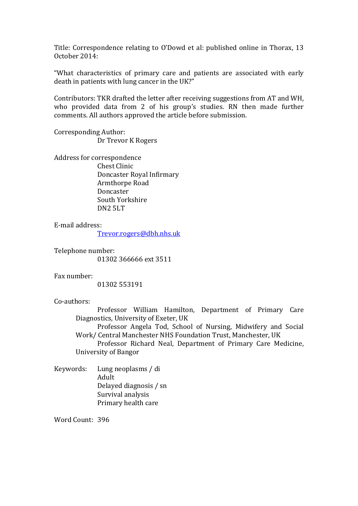Title: Correspondence relating to O'Dowd et al: published online in Thorax, 13 October 2014:

"What characteristics of primary care and patients are associated with early death in patients with lung cancer in the UK?"

Contributors: TKR drafted the letter after receiving suggestions from AT and WH, who provided data from 2 of his group's studies. RN then made further comments. All authors approved the article before submission.

Corresponding Author: Dr Trevor K Rogers

Address for correspondence Chest Clinic Doncaster Royal Infirmary Armthorpe Road Doncaster South Yorkshire DN2 5LT

E-mail address:

[Trevor.rogers@dbh.nhs.uk](mailto:Trevor.rogers@dbh.nhs.uk)

Telephone number: 01302 366666 ext 3511

Fax number:

01302 553191

Co-authors:

Professor William Hamilton, Department of Primary Care Diagnostics, University of Exeter, UK

Professor Angela Tod, School of Nursing, Midwifery and Social Work/ Central Manchester NHS Foundation Trust, Manchester, UK

Professor Richard Neal, Department of Primary Care Medicine, University of Bangor

Keywords: Lung neoplasms / di Adult Delayed diagnosis / sn Survival analysis Primary health care

Word Count: 396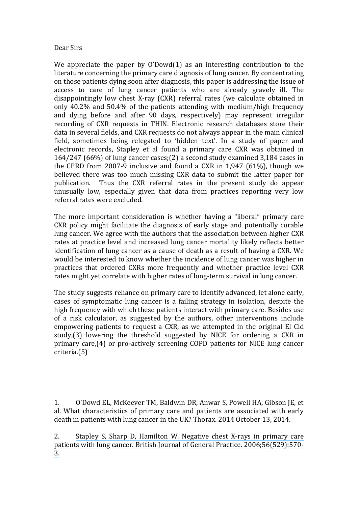## Dear Sirs

We appreciate the paper by O'Dowd[\(1\)](#page-1-0) as an interesting contribution to the literature concerning the primary care diagnosis of lung cancer. By concentrating on those patients dying soon after diagnosis, this paper is addressing the issue of access to care of lung cancer patients who are already gravely ill. The disappointingly low chest X-ray (CXR) referral rates (we calculate obtained in only 40.2% and 50.4% of the patients attending with medium/high frequency and dying before and after 90 days, respectively) may represent irregular recording of CXR requests in THIN. Electronic research databases store their data in several fields, and CXR requests do not always appear in the main clinical field, sometimes being relegated to 'hidden text'. In a study of paper and electronic records, Stapley et al found a primary care CXR was obtained in 164/247 (66%) of lung cancer cases;[\(2\)](#page-1-1) a second study examined 3,184 cases in the CPRD from 2007-9 inclusive and found a CXR in 1,947 (61%), though we believed there was too much missing CXR data to submit the latter paper for publication. Thus the CXR referral rates in the present study do appear unusually low, especially given that data from practices reporting very low referral rates were excluded.

The more important consideration is whether having a "liberal" primary care CXR policy might facilitate the diagnosis of early stage and potentially curable lung cancer. We agree with the authors that the association between higher CXR rates at practice level and increased lung cancer mortality likely reflects better identification of lung cancer as a cause of death as a result of having a CXR. We would be interested to know whether the incidence of lung cancer was higher in practices that ordered CXRs more frequently and whether practice level CXR rates might yet correlate with higher rates of long-term survival in lung cancer.

The study suggests reliance on primary care to identify advanced, let alone early, cases of symptomatic lung cancer is a failing strategy in isolation, despite the high frequency with which these patients interact with primary care. Besides use of a risk calculator, as suggested by the authors, other interventions include empowering patients to request a CXR, as we attempted in the original El Cid study,[\(3\)](#page-2-0) lowering the threshold suggested by NICE for ordering a CXR in primary care,[\(4\)](#page-2-1) or pro-actively screening COPD patients for NICE lung cancer criteria.[\(5\)](#page-2-2)

<span id="page-1-0"></span>1. O'Dowd EL, McKeever TM, Baldwin DR, Anwar S, Powell HA, Gibson JE, et al. What characteristics of primary care and patients are associated with early death in patients with lung cancer in the UK? Thorax. 2014 October 13, 2014.

<span id="page-1-1"></span>2. [Stapley S, Sharp D, Hamilton W. Negative chest X-rays in primary care](https://www.researchgate.net/publication/6905077_Negative_chest_X-rays_in_primary_care_patients_with_lung_cancer?el=1_x_8&enrichId=rgreq-b51e91b79bf11a5438bab4298a1420ef-XXX&enrichSource=Y292ZXJQYWdlOzI2OTk5ODk3NztBUzoxODMyNjQxNjE1NzQ5MTRAMTQyMDcwNDk4OTYxOA==)  [patients with lung cancer. British Journal of General Practice. 2006;56\(529\):570-](https://www.researchgate.net/publication/6905077_Negative_chest_X-rays_in_primary_care_patients_with_lung_cancer?el=1_x_8&enrichId=rgreq-b51e91b79bf11a5438bab4298a1420ef-XXX&enrichSource=Y292ZXJQYWdlOzI2OTk5ODk3NztBUzoxODMyNjQxNjE1NzQ5MTRAMTQyMDcwNDk4OTYxOA==) [3.](https://www.researchgate.net/publication/6905077_Negative_chest_X-rays_in_primary_care_patients_with_lung_cancer?el=1_x_8&enrichId=rgreq-b51e91b79bf11a5438bab4298a1420ef-XXX&enrichSource=Y292ZXJQYWdlOzI2OTk5ODk3NztBUzoxODMyNjQxNjE1NzQ5MTRAMTQyMDcwNDk4OTYxOA==)